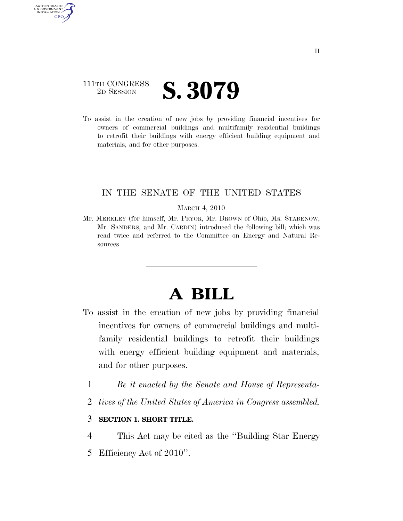# 111TH CONGRESS <sup>2D SESSION</sup> **S. 3079**

AUTHENTICATED U.S. GOVERNMENT GPO

> To assist in the creation of new jobs by providing financial incentives for owners of commercial buildings and multifamily residential buildings to retrofit their buildings with energy efficient building equipment and materials, and for other purposes.

## IN THE SENATE OF THE UNITED STATES

#### MARCH 4, 2010

Mr. MERKLEY (for himself, Mr. PRYOR, Mr. BROWN of Ohio, Ms. STABENOW, Mr. SANDERS, and Mr. CARDIN) introduced the following bill; which was read twice and referred to the Committee on Energy and Natural Resources

# **A BILL**

- To assist in the creation of new jobs by providing financial incentives for owners of commercial buildings and multifamily residential buildings to retrofit their buildings with energy efficient building equipment and materials, and for other purposes.
	- 1 *Be it enacted by the Senate and House of Representa-*
	- 2 *tives of the United States of America in Congress assembled,*

### 3 **SECTION 1. SHORT TITLE.**

4 This Act may be cited as the ''Building Star Energy

5 Efficiency Act of 2010''.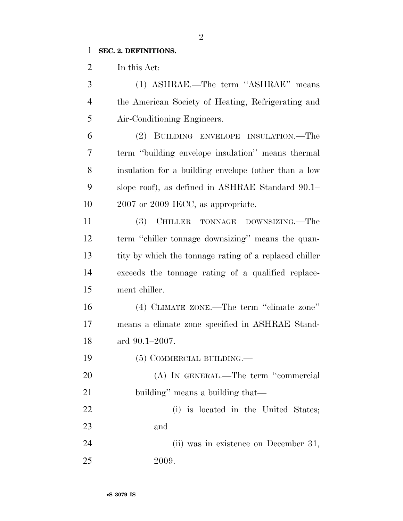### **SEC. 2. DEFINITIONS.**

In this Act:

 (1) ASHRAE.—The term ''ASHRAE'' means the American Society of Heating, Refrigerating and Air-Conditioning Engineers. (2) BUILDING ENVELOPE INSULATION.—The term ''building envelope insulation'' means thermal insulation for a building envelope (other than a low

 slope roof), as defined in ASHRAE Standard 90.1– 2007 or 2009 IECC, as appropriate.

 (3) CHILLER TONNAGE DOWNSIZING.—The term ''chiller tonnage downsizing'' means the quan- tity by which the tonnage rating of a replaced chiller exceeds the tonnage rating of a qualified replace-ment chiller.

 (4) CLIMATE ZONE.—The term ''climate zone'' means a climate zone specified in ASHRAE Stand-ard 90.1–2007.

(5) COMMERCIAL BUILDING.—

20 (A) IN GENERAL.—The term "commercial 21 building'' means a building that—

 (i) is located in the United States; and

 (ii) was in existence on December 31, 2009.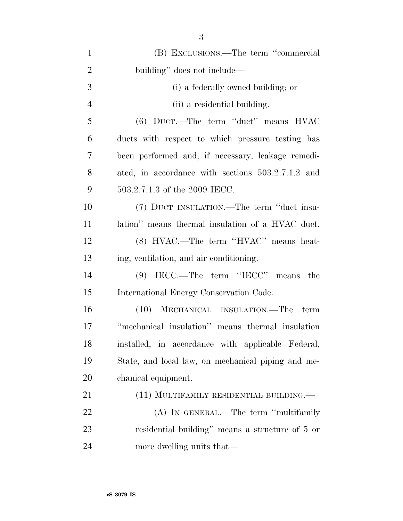| $\mathbf{1}$   | (B) EXCLUSIONS.—The term "commercial               |
|----------------|----------------------------------------------------|
| $\overline{2}$ | building" does not include—                        |
| 3              | (i) a federally owned building; or                 |
| $\overline{4}$ | (ii) a residential building.                       |
| 5              | (6) DUCT.—The term "duct" means HVAC               |
| 6              | ducts with respect to which pressure testing has   |
| 7              | been performed and, if necessary, leakage remedi-  |
| 8              | ated, in accordance with sections 503.2.7.1.2 and  |
| 9              | 503.2.7.1.3 of the 2009 IECC.                      |
| 10             | (7) DUCT INSULATION.—The term "duct insu-          |
| 11             | lation" means thermal insulation of a HVAC duct.   |
| 12             | (8) HVAC.—The term "HVAC" means heat-              |
| 13             | ing, ventilation, and air conditioning.            |
| 14             | $(9)$ IECC.—The term "IECC" means the              |
| 15             | International Energy Conservation Code.            |
| 16             | (10) MECHANICAL INSULATION.—The<br>term            |
| 17             | "mechanical insulation" means thermal insulation   |
| 18             | installed, in accordance with applicable Federal,  |
| 19             | State, and local law, on mechanical piping and me- |
| 20             | chanical equipment.                                |
| 21             | (11) MULTIFAMILY RESIDENTIAL BUILDING.             |
| 22             | (A) IN GENERAL.—The term "multifamily              |
| 23             | residential building" means a structure of 5 or    |
| 24             | more dwelling units that—                          |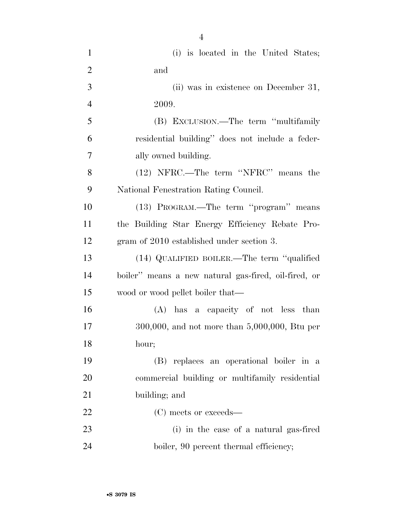| $\mathbf{1}$   | (i) is located in the United States;                 |
|----------------|------------------------------------------------------|
| $\overline{2}$ | and                                                  |
| 3              | (ii) was in existence on December 31,                |
| $\overline{4}$ | 2009.                                                |
| 5              | (B) EXCLUSION.—The term "multifamily"                |
| 6              | residential building" does not include a feder-      |
| 7              | ally owned building.                                 |
| 8              | (12) NFRC.—The term "NFRC" means the                 |
| 9              | National Fenestration Rating Council.                |
| 10             | (13) PROGRAM.—The term "program" means               |
| <sup>11</sup>  | the Building Star Energy Efficiency Rebate Pro-      |
| 12             | gram of 2010 established under section 3.            |
| 13             | (14) QUALIFIED BOILER.—The term "qualified           |
| 14             | boiler" means a new natural gas-fired, oil-fired, or |
| 15             | wood or wood pellet boiler that—                     |
| 16             | (A) has a capacity of not less than                  |
| 17             | $300,000$ , and not more than $5,000,000$ , Btu per  |
| 18             | hour;                                                |
| 19             | (B) replaces an operational boiler in a              |
| 20             | commercial building or multifamily residential       |
| 21             | building; and                                        |
| 22             | (C) meets or exceeds—                                |
| 23             | (i) in the case of a natural gas-fired               |
| 24             | boiler, 90 percent thermal efficiency;               |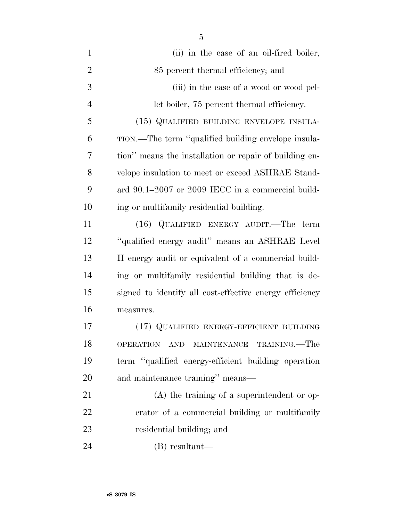| $\mathbf{1}$   | (ii) in the case of an oil-fired boiler,                |
|----------------|---------------------------------------------------------|
| $\overline{2}$ | 85 percent thermal efficiency; and                      |
| 3              | (iii) in the case of a wood or wood pel-                |
| $\overline{4}$ | let boiler, 75 percent thermal efficiency.              |
| 5              | (15) QUALIFIED BUILDING ENVELOPE INSULA-                |
| 6              | TION.—The term "qualified building envelope insula-     |
| 7              | tion" means the installation or repair of building en-  |
| 8              | velope insulation to meet or exceed ASHRAE Stand-       |
| 9              | ard 90.1-2007 or 2009 IECC in a commercial build-       |
| 10             | ing or multifamily residential building.                |
| 11             | (16) QUALIFIED ENERGY AUDIT.—The term                   |
| 12             | "qualified energy audit" means an ASHRAE Level          |
| 13             | II energy audit or equivalent of a commercial build-    |
| 14             | ing or multifamily residential building that is de-     |
| 15             | signed to identify all cost-effective energy efficiency |
| 16             | measures.                                               |
| 17             | (17) QUALIFIED ENERGY-EFFICIENT BUILDING                |
| 18             | MAINTENANCE TRAINING.—The<br>OPERATION AND              |
| 19             | term "qualified energy-efficient building operation     |
| 20             | and maintenance training" means-                        |
| 21             | $(A)$ the training of a superintendent or op-           |
| 22             | erator of a commercial building or multifamily          |
| 23             | residential building; and                               |
| 24             | $(B)$ resultant—                                        |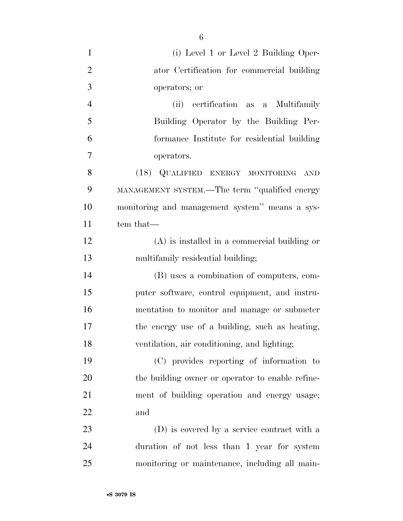| $\mathbf{1}$   | (i) Level 1 or Level 2 Building Oper-            |
|----------------|--------------------------------------------------|
| $\overline{2}$ | ator Certification for commercial building       |
| 3              | operators; or                                    |
| $\overline{4}$ | (ii) certification as a Multifamily              |
| 5              | Building Operator by the Building Per-           |
| 6              | formance Institute for residential building      |
| $\overline{7}$ | operators.                                       |
| 8              | (18) QUALIFIED ENERGY MONITORING AND             |
| 9              | MANAGEMENT SYSTEM.—The term "qualified energy    |
| 10             | monitoring and management system" means a sys-   |
| 11             | tem that—                                        |
| 12             | $(A)$ is installed in a commercial building or   |
| 13             | multifamily residential building;                |
| 14             | (B) uses a combination of computers, com-        |
| 15             | puter software, control equipment, and instru-   |
| 16             | mentation to monitor and manage or submeter      |
| 17             | the energy use of a building, such as heating,   |
| 18             | ventilation, air conditioning, and lighting;     |
| 19             | (C) provides reporting of information to         |
| 20             | the building owner or operator to enable refine- |
| 21             | ment of building operation and energy usage;     |
| 22             | and                                              |
| 23             | (D) is covered by a service contract with a      |
| 24             | duration of not less than 1 year for system      |
| 25             | monitoring or maintenance, including all main-   |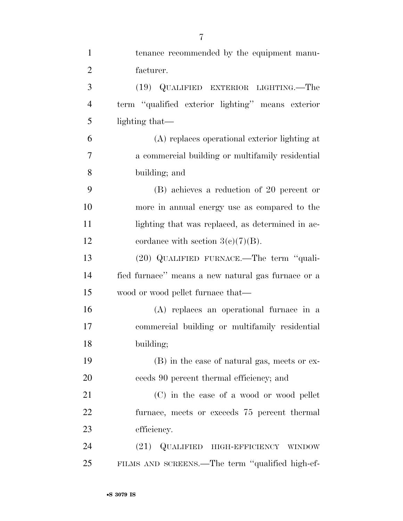| $\mathbf{1}$   | tenance recommended by the equipment manu-         |
|----------------|----------------------------------------------------|
| $\overline{2}$ | facturer.                                          |
| 3              | (19) QUALIFIED EXTERIOR LIGHTING.—The              |
| $\overline{4}$ | term "qualified exterior lighting" means exterior  |
| 5              | lighting that—                                     |
| 6              | (A) replaces operational exterior lighting at      |
| 7              | a commercial building or multifamily residential   |
| 8              | building; and                                      |
| 9              | (B) achieves a reduction of 20 percent or          |
| 10             | more in annual energy use as compared to the       |
| 11             | lighting that was replaced, as determined in ac-   |
| 12             | cordance with section $3(c)(7)(B)$ .               |
| 13             | (20) QUALIFIED FURNACE.—The term "quali-           |
| 14             | fied furnace" means a new natural gas furnace or a |
| 15             | wood or wood pellet furnace that—                  |
| 16             | (A) replaces an operational furnace in a           |
| 17             | commercial building or multifamily residential     |
| 18             | building;                                          |
| 19             | (B) in the case of natural gas, meets or ex-       |
| 20             | ceeds 90 percent thermal efficiency; and           |
| 21             | (C) in the case of a wood or wood pellet           |
| 22             | furnace, meets or exceeds 75 percent thermal       |
| 23             | efficiency.                                        |
| 24             | (21) QUALIFIED HIGH-EFFICIENCY WINDOW              |
| 25             | FILMS AND SCREENS.—The term "qualified high-ef-    |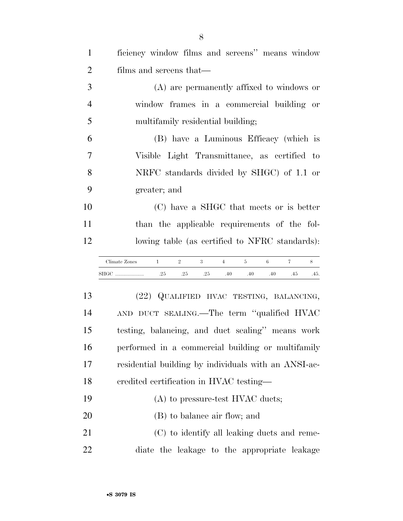| $\mathbf{1}$   | ficiency window films and screens" means window                                                 |
|----------------|-------------------------------------------------------------------------------------------------|
| $\overline{2}$ | films and screens that—                                                                         |
| 3              | (A) are permanently affixed to windows or                                                       |
| $\overline{4}$ | window frames in a commercial building or                                                       |
| 5              | multifamily residential building;                                                               |
| 6              | (B) have a Luminous Efficacy (which is                                                          |
| 7              | Visible Light Transmittance, as certified to                                                    |
| 8              | NRFC standards divided by SHGC) of 1.1 or                                                       |
| 9              | greater; and                                                                                    |
| 10             | (C) have a SHGC that meets or is better                                                         |
| 11             | than the applicable requirements of the fol-                                                    |
| 12             | lowing table (as certified to NFRC standards):                                                  |
|                |                                                                                                 |
|                | 6<br>$\mathbf{1}$<br>$\overline{2}$<br>3<br>$\overline{4}$<br>5<br>$\tau$<br>8<br>Climate Zones |
|                | .25<br>.25<br>.25<br>.40<br>.40<br>.40<br>.45<br>.45.                                           |
| 13             | (22) QUALIFIED HVAC TESTING, BALANCING,                                                         |
| 14             | AND DUCT SEALING.—The term "qualified HVAC                                                      |
| 15             | testing, balancing, and duct sealing" means work                                                |
| 16             | performed in a commercial building or multifamily                                               |
| 17             | residential building by individuals with an ANSI-ac-                                            |
| 18             | eredited certification in HVAC testing—                                                         |
| 19             | (A) to pressure-test HVAC ducts;                                                                |
| 20             | (B) to balance air flow; and                                                                    |
| 21             | (C) to identify all leaking ducts and reme-                                                     |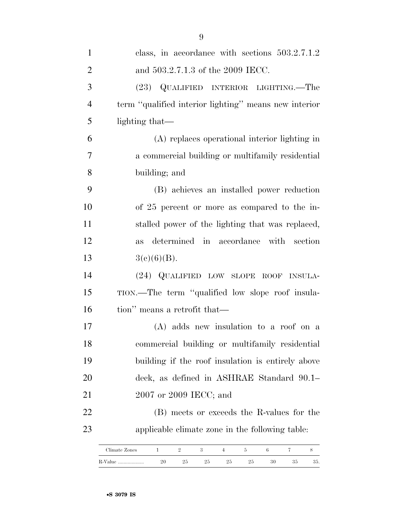| $\mathbf{1}$   | class, in accordance with sections $503.2.7.1.2$      |
|----------------|-------------------------------------------------------|
| $\overline{2}$ | and 503.2.7.1.3 of the 2009 IECC.                     |
| 3              | (23) QUALIFIED INTERIOR LIGHTING.—The                 |
| $\overline{4}$ | term "qualified interior lighting" means new interior |
| 5              | lighting that—                                        |
| 6              | (A) replaces operational interior lighting in         |
| 7              | a commercial building or multifamily residential      |
| 8              | building; and                                         |
| 9              | (B) achieves an installed power reduction             |
| 10             | of 25 percent or more as compared to the in-          |
| 11             | stalled power of the lighting that was replaced,      |
| 12             | as determined in accordance with section              |
| 13             | 3(c)(6)(B).                                           |
| 14             | (24) QUALIFIED LOW SLOPE ROOF INSULA-                 |
| 15             | TION.—The term "qualified low slope roof insula-      |
| 16             | tion" means a retrofit that—                          |
| 17             | (A) adds new insulation to a roof on a                |
| 18             | commercial building or multifamily residential        |
| 19             | building if the roof insulation is entirely above     |
| 20             | deck, as defined in ASHRAE Standard 90.1–             |
| 21             | 2007 or 2009 IECC; and                                |
| 22             | (B) meets or exceeds the R-values for the             |
| 23             | applicable climate zone in the following table:       |
|                |                                                       |

| Climate Zones |    |    |    |      |    |    |    |     |
|---------------|----|----|----|------|----|----|----|-----|
| R-Value       | ⊸⊽ | 25 | 25 | ل نے | 25 | 30 | ಲಲ | ov. |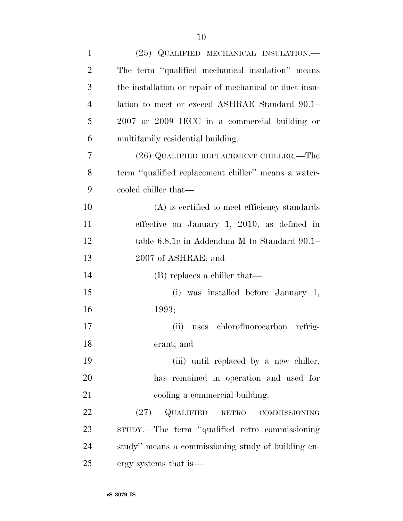| $\mathbf{1}$   | (25) QUALIFIED MECHANICAL INSULATION.-                 |
|----------------|--------------------------------------------------------|
| $\overline{2}$ | The term "qualified mechanical insulation" means       |
| 3              | the installation or repair of mechanical or duct insu- |
| 4              | lation to meet or exceed ASHRAE Standard 90.1–         |
| 5              | 2007 or 2009 IECC in a commercial building or          |
| 6              | multifamily residential building.                      |
| 7              | (26) QUALIFIED REPLACEMENT CHILLER.—The                |
| 8              | term "qualified replacement chiller" means a water-    |
| 9              | cooled chiller that—                                   |
| 10             | $(A)$ is certified to meet efficiency standards        |
| 11             | effective on January 1, 2010, as defined in            |
| 12             | table 6.8.1c in Addendum M to Standard 90.1–           |
| 13             | 2007 of ASHRAE; and                                    |
| 14             | $(B)$ replaces a chiller that—                         |
| 15             | was installed before January 1,<br>(i)                 |
| 16             | 1993;                                                  |
| 17             | (ii) uses chlorofluorocarbon refrig-                   |
| 18             | erant; and                                             |
| 19             | (iii) until replaced by a new chiller,                 |
| 20             | has remained in operation and used for                 |
| 21             | cooling a commercial building.                         |
| 22             | $\mathbf Q$ UALIFIED RETRO COMMISSIONING<br>(27)       |
| 23             | strupy.—The term "qualified retro commissioning        |
| 24             | study" means a commissioning study of building en-     |
| 25             | ergy systems that is—                                  |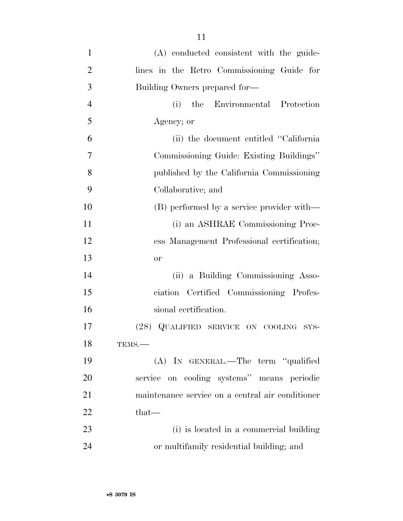| $\mathbf{1}$   | (A) conducted consistent with the guide-         |
|----------------|--------------------------------------------------|
| $\overline{2}$ | lines in the Retro Commissioning Guide for       |
| 3              | Building Owners prepared for-                    |
| $\overline{4}$ | the Environmental Protection<br>(i)              |
| 5              | Agency; or                                       |
| 6              | (ii) the document entitled "California"          |
| 7              | Commissioning Guide: Existing Buildings"         |
| 8              | published by the California Commissioning        |
| 9              | Collaborative; and                               |
| 10             | (B) performed by a service provider with—        |
| 11             | (i) an ASHRAE Commissioning Proc-                |
| 12             | ess Management Professional certification;       |
| 13             | <b>or</b>                                        |
| 14             | (ii) a Building Commissioning Asso-              |
| 15             | ciation Certified Commissioning Profes-          |
| 16             | sional certification.                            |
| 17             | (28) QUALIFIED SERVICE ON COOLING SYS-           |
| 18             | TEMS.-                                           |
| 19             | (A) IN GENERAL.—The term "qualified              |
| 20             | service on cooling systems" means periodic       |
| 21             | maintenance service on a central air conditioner |
| 22             | $that-$                                          |
| 23             | (i) is located in a commercial building          |
| 24             | or multifamily residential building; and         |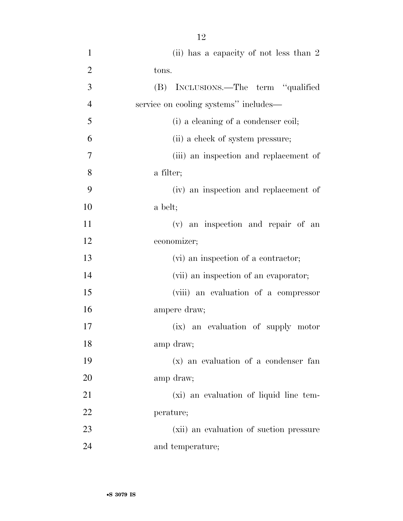| $\mathbf{1}$   | (ii) has a capacity of not less than 2  |
|----------------|-----------------------------------------|
| $\overline{2}$ | tons.                                   |
| 3              | (B) INCLUSIONS.—The term "qualified     |
| $\overline{4}$ | service on cooling systems" includes—   |
| 5              | (i) a cleaning of a condenser coil;     |
| 6              | (ii) a check of system pressure;        |
| 7              | (iii) an inspection and replacement of  |
| 8              | a filter;                               |
| 9              | (iv) an inspection and replacement of   |
| 10             | a belt;                                 |
| 11             | (v) an inspection and repair of an      |
| 12             | economizer;                             |
| 13             | (vi) an inspection of a contractor;     |
| 14             | (vii) an inspection of an evaporator;   |
| 15             | (viii) an evaluation of a compressor    |
| 16             | ampere draw;                            |
| 17             | (ix) an evaluation of supply motor      |
| 18             | amp draw;                               |
| 19             | (x) an evaluation of a condenser fan    |
| 20             | amp draw;                               |
| 21             | (xi) an evaluation of liquid line tem-  |
| 22             | perature;                               |
| 23             | (xii) an evaluation of suction pressure |
| 24             | and temperature;                        |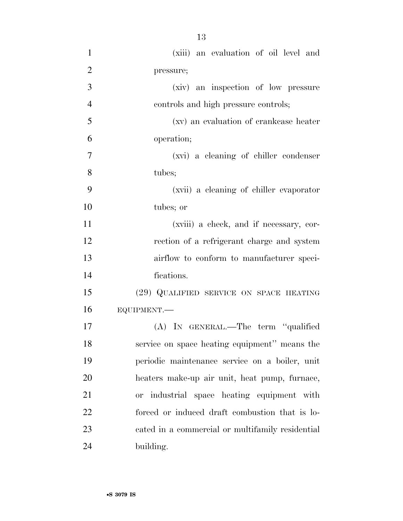(xiii) an evaluation of oil level and pressure; (xiv) an inspection of low pressure controls and high pressure controls; (xv) an evaluation of crankcase heater operation; (xvi) a cleaning of chiller condenser tubes; (xvii) a cleaning of chiller evaporator tubes; or (xviii) a check, and if necessary, cor- rection of a refrigerant charge and system airflow to conform to manufacturer speci- fications. (29) QUALIFIED SERVICE ON SPACE HEATING EQUIPMENT.— (A) IN GENERAL.—The term ''qualified service on space heating equipment'' means the periodic maintenance service on a boiler, unit heaters make-up air unit, heat pump, furnace, or industrial space heating equipment with forced or induced draft combustion that is lo-

cated in a commercial or multifamily residential

building.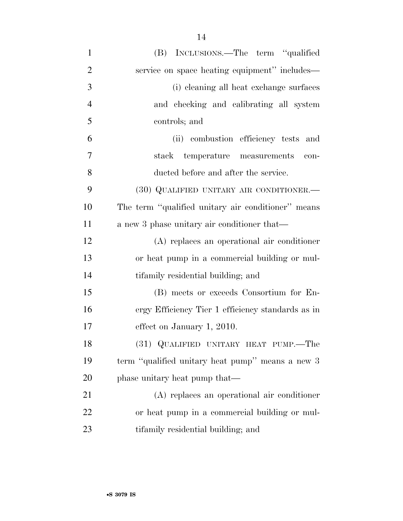| $\mathbf{1}$   | (B) INCLUSIONS.—The term "qualified                |
|----------------|----------------------------------------------------|
| $\overline{2}$ | service on space heating equipment" includes—      |
| 3              | (i) cleaning all heat exchange surfaces            |
| $\overline{4}$ | and checking and calibrating all system            |
| 5              | controls; and                                      |
| 6              | (ii) combustion efficiency tests and               |
| 7              | temperature measurements<br>stack<br>con-          |
| 8              | ducted before and after the service.               |
| 9              | (30) QUALIFIED UNITARY AIR CONDITIONER.-           |
| 10             | The term "qualified unitary air conditioner" means |
| 11             | a new 3 phase unitary air conditioner that—        |
| 12             | (A) replaces an operational air conditioner        |
| 13             | or heat pump in a commercial building or mul-      |
| 14             | tifamily residential building; and                 |
| 15             | (B) meets or exceeds Consortium for En-            |
| 16             | ergy Efficiency Tier 1 efficiency standards as in  |
| 17             | effect on January 1, 2010.                         |
| 18             | (31) QUALIFIED UNITARY HEAT PUMP.—The              |
| 19             | term "qualified unitary heat pump" means a new 3   |
| 20             | phase unitary heat pump that—                      |
| 21             | (A) replaces an operational air conditioner        |
| 22             | or heat pump in a commercial building or mul-      |
| 23             | tifamily residential building; and                 |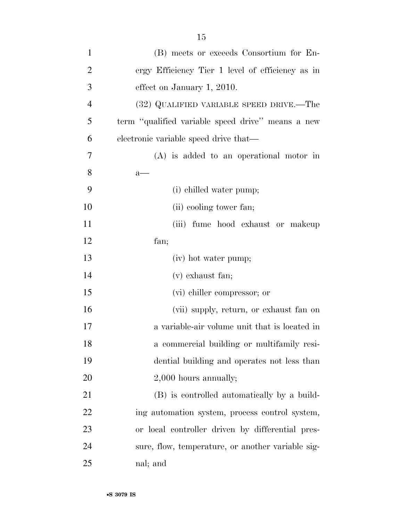| $\mathbf{1}$   | (B) meets or exceeds Consortium for En-           |
|----------------|---------------------------------------------------|
| $\overline{2}$ | ergy Efficiency Tier 1 level of efficiency as in  |
| 3              | effect on January 1, 2010.                        |
| $\overline{4}$ | (32) QUALIFIED VARIABLE SPEED DRIVE.—The          |
| 5              | term "qualified variable speed drive" means a new |
| 6              | electronic variable speed drive that—             |
| $\overline{7}$ | $(A)$ is added to an operational motor in         |
| 8              | $a$ —                                             |
| 9              | (i) chilled water pump;                           |
| 10             | (ii) cooling tower fan;                           |
| 11             | (iii) fume hood exhaust or makeup                 |
| 12             | fan;                                              |
| 13             | (iv) hot water pump;                              |
| 14             | $(v)$ exhaust fan;                                |
| 15             | (vi) chiller compressor; or                       |
| 16             | (vii) supply, return, or exhaust fan on           |
| 17             | a variable-air volume unit that is located in     |
| 18             | a commercial building or multifamily resi-        |
| 19             | dential building and operates not less than       |
| 20             | 2,000 hours annually;                             |
| 21             | (B) is controlled automatically by a build-       |
| 22             | ing automation system, process control system,    |
| 23             | or local controller driven by differential pres-  |
| 24             | sure, flow, temperature, or another variable sig- |
| 25             | nal; and                                          |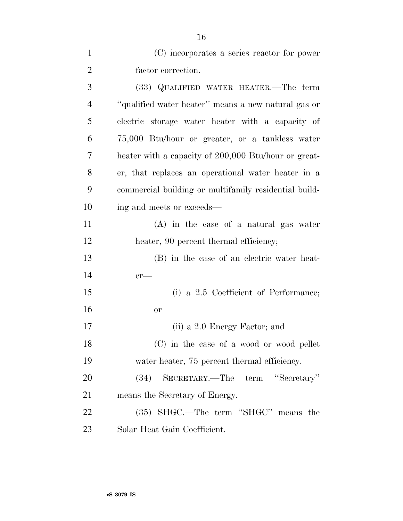| (C) incorporates a series reactor for power |
|---------------------------------------------|
| factor correction.                          |

| 3              | (33) QUALIFIED WATER HEATER.—The term                 |
|----------------|-------------------------------------------------------|
| $\overline{4}$ | "qualified water heater" means a new natural gas or   |
| 5              | electric storage water heater with a capacity of      |
| 6              | 75,000 Btu/hour or greater, or a tankless water       |
| 7              | heater with a capacity of 200,000 Btu/hour or great-  |
| 8              | er, that replaces an operational water heater in a    |
| 9              | commercial building or multifamily residential build- |
| 10             | ing and meets or exceeds—                             |
| 11             | $(A)$ in the case of a natural gas water              |
| 12             | heater, 90 percent thermal efficiency;                |
| 13             | (B) in the case of an electric water heat-            |
| 14             | $er$ —                                                |
| 15             | (i) a 2.5 Coefficient of Performance;                 |
| 16             | <b>or</b>                                             |
| 17             | (ii) a 2.0 Energy Factor; and                         |
| 18             | (C) in the case of a wood or wood pellet              |
| 19             | water heater, 75 percent thermal efficiency.          |
| 20             | (34)<br>SECRETARY.—The<br>term "Secretary"            |
| 21             | means the Secretary of Energy.                        |
| 22             | (35) SHGC.—The term "SHGC" means the                  |
| 23             | Solar Heat Gain Coefficient.                          |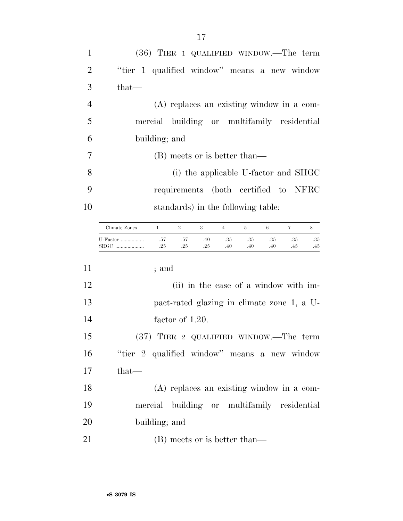|                                              |                              |                | $(36)$ TIER 1 QUALIFIED WINDOW.—The term    |                |            |            |            |            |
|----------------------------------------------|------------------------------|----------------|---------------------------------------------|----------------|------------|------------|------------|------------|
| "tier 1 qualified window" means a new window |                              |                |                                             |                |            |            |            |            |
| that—                                        |                              |                |                                             |                |            |            |            |            |
|                                              |                              |                | $(A)$ replaces an existing window in a com- |                |            |            |            |            |
|                                              |                              |                | mercial building or multifamily residential |                |            |            |            |            |
|                                              | building; and                |                |                                             |                |            |            |            |            |
|                                              | (B) meets or is better than— |                |                                             |                |            |            |            |            |
| 8                                            |                              |                | (i) the applicable U-factor and SHGC        |                |            |            |            |            |
|                                              |                              |                | requirements (both certified to NFRC        |                |            |            |            |            |
| 10                                           |                              |                | standards) in the following table:          |                |            |            |            |            |
| Climate Zones                                | $\mathbf{1}$                 | $\overline{2}$ | 3                                           | $\overline{4}$ | 5          | 6          | $\tau$     | 8          |
| U-Factor<br>SHGC                             | .57<br>.25                   | .57<br>.25     | .40<br>.25                                  | .35<br>.40     | .35<br>.40 | .35<br>.40 | .35<br>.45 | .35<br>.45 |
|                                              | ; and                        |                |                                             |                |            |            |            |            |
| 12                                           |                              |                | $(i)$ in the ease of a window with im       |                |            |            |            |            |

| 13<br>pact-rated glazing in climate zone 1, a U- |  |
|--------------------------------------------------|--|
| 14<br>factor of 1.20.                            |  |

 (37) TIER 2 QUALIFIED WINDOW.—The term ''tier 2 qualified window'' means a new window that—

 (A) replaces an existing window in a com- mercial building or multifamily residential building; and

21 (B) meets or is better than—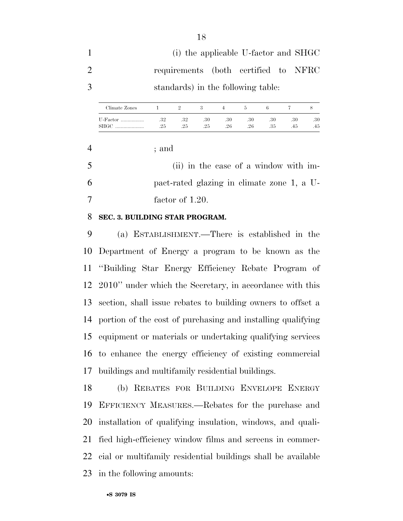(i) the applicable U-factor and SHGC requirements (both certified to NFRC standards) in the following table:

| Climate Zones        |            |            |            |            |            |            |            |            |
|----------------------|------------|------------|------------|------------|------------|------------|------------|------------|
| U-Factor<br>SHGC<br> | .32<br>.25 | .32<br>.25 | .30<br>.25 | .30<br>.26 | .30<br>.26 | .30<br>.35 | .30<br>.45 | .30<br>.45 |

; and

 (ii) in the case of a window with im- pact-rated glazing in climate zone 1, a U-factor of 1.20.

## **SEC. 3. BUILDING STAR PROGRAM.**

 (a) ESTABLISHMENT.—There is established in the Department of Energy a program to be known as the ''Building Star Energy Efficiency Rebate Program of 2010'' under which the Secretary, in accordance with this section, shall issue rebates to building owners to offset a portion of the cost of purchasing and installing qualifying equipment or materials or undertaking qualifying services to enhance the energy efficiency of existing commercial buildings and multifamily residential buildings.

 (b) REBATES FOR BUILDING ENVELOPE ENERGY EFFICIENCY MEASURES.—Rebates for the purchase and installation of qualifying insulation, windows, and quali- fied high-efficiency window films and screens in commer- cial or multifamily residential buildings shall be available in the following amounts: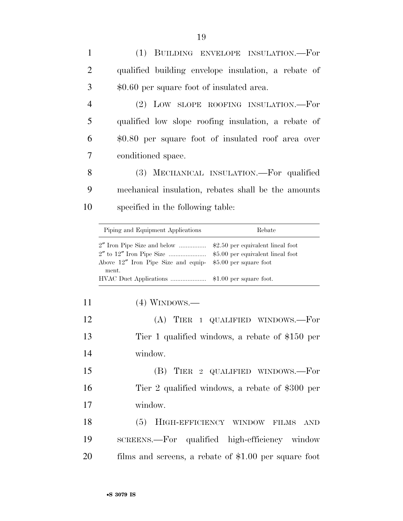(1) BUILDING ENVELOPE INSULATION.—For qualified building envelope insulation, a rebate of \$0.60 per square foot of insulated area. (2) LOW SLOPE ROOFING INSULATION.—For qualified low slope roofing insulation, a rebate of \$0.80 per square foot of insulated roof area over conditioned space.

 (3) MECHANICAL INSULATION.—For qualified mechanical insulation, rebates shall be the amounts specified in the following table:

| Piping and Equipment Applications                                       | Rebate |
|-------------------------------------------------------------------------|--------|
|                                                                         |        |
|                                                                         |        |
| Above $12''$ Iron Pipe Size and equip- $$5.00$ per square foot<br>ment. |        |
|                                                                         |        |

| 11 |  | $(4)$ WINDOWS.— |
|----|--|-----------------|
|----|--|-----------------|

| 12 | $(A)$ TIER 1 QUALIFIED WINDOWS.—For             |
|----|-------------------------------------------------|
| 13 | Tier 1 qualified windows, a rebate of \$150 per |
| 14 | window.                                         |

 (B) TIER 2 QUALIFIED WINDOWS.—For Tier 2 qualified windows, a rebate of \$300 per window.

18 (5) HIGH-EFFICIENCY WINDOW FILMS AND SCREENS.—For qualified high-efficiency window films and screens, a rebate of \$1.00 per square foot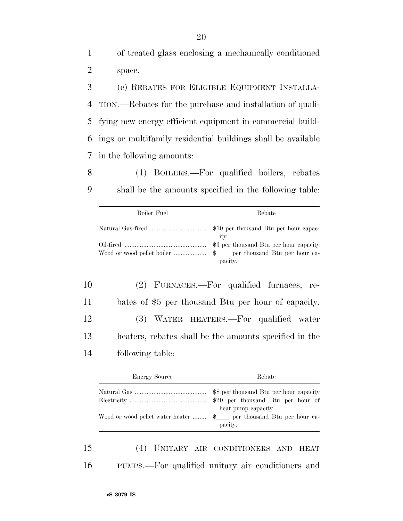1 of treated glass enclosing a mechanically conditioned 2 space.

 (c) REBATES FOR ELIGIBLE EQUIPMENT INSTALLA- TION.—Rebates for the purchase and installation of quali- fying new energy efficient equipment in commercial build- ings or multifamily residential buildings shall be available in the following amounts:

8 (1) BOILERS.—For qualified boilers, rebates 9 shall be the amounts specified in the following table:

| Boiler Fuel | Rebate  |
|-------------|---------|
|             | ity     |
|             | pacity. |

 (2) FURNACES.—For qualified furnaces, re- bates of \$5 per thousand Btu per hour of capacity. (3) WATER HEATERS.—For qualified water heaters, rebates shall be the amounts specified in the following table:

| <b>Energy Source</b> | Rebate                                                   |
|----------------------|----------------------------------------------------------|
|                      | \$8 per thousand Btu per hour capacity                   |
|                      | $$20$ per thousand Btu per hour of<br>heat pump capacity |
|                      | pacity.                                                  |

15 (4) UNITARY AIR CONDITIONERS AND HEAT 16 PUMPS.—For qualified unitary air conditioners and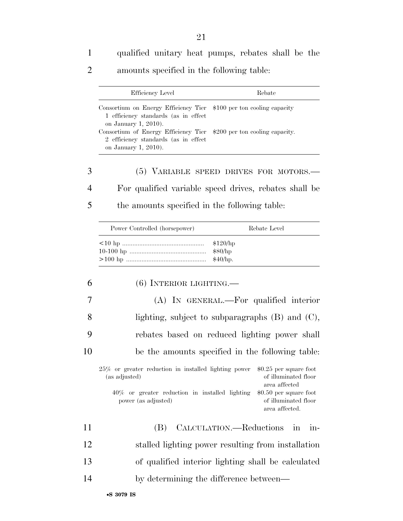1 qualified unitary heat pumps, rebates shall be the

2 amounts specified in the following table:

|    | Efficiency Level                                                                                     | Rebate                                                            |
|----|------------------------------------------------------------------------------------------------------|-------------------------------------------------------------------|
|    | Consortium on Energy Efficiency Tier<br>1 efficiency standards (as in effect<br>on January 1, 2010). | \$100 per ton cooling capacity                                    |
|    | Consortium of Energy Efficiency Tier<br>2 efficiency standards (as in effect<br>on January 1, 2010). | \$200 per ton cooling capacity.                                   |
| 3  |                                                                                                      | (5) VARIABLE SPEED DRIVES FOR MOTORS.—                            |
| 4  |                                                                                                      | For qualified variable speed drives, rebates shall be             |
| 5  | the amounts specified in the following table:                                                        |                                                                   |
|    | Power Controlled (horsepower)                                                                        | Rebate Level                                                      |
|    |                                                                                                      | \$120/hp<br>\$80/hp<br>\$40/hp.                                   |
| 6  | $(6)$ INTERIOR LIGHTING.—                                                                            |                                                                   |
| 7  |                                                                                                      | (A) IN GENERAL.—For qualified interior                            |
| 8  |                                                                                                      | lighting, subject to subparagraphs $(B)$ and $(C)$ ,              |
| 9  |                                                                                                      | rebates based on reduced lighting power shall                     |
| 10 |                                                                                                      | be the amounts specified in the following table:                  |
|    | $25\%$ or greater reduction in installed lighting power<br>(as adjusted)                             | $$0.25$ per square foot<br>of illuminated floor<br>area affected  |
|    | $40\%$ or greater reduction in installed lighting<br>power (as adjusted)                             | $$0.50$ per square foot<br>of illuminated floor<br>area affected. |
| 11 | (B)                                                                                                  | CALCULATION.—Reductions<br>$in$ -<br>1n                           |
| 12 |                                                                                                      | stalled lighting power resulting from installation                |
| 13 |                                                                                                      | of qualified interior lighting shall be calculated                |
| 14 |                                                                                                      | by determining the difference between—                            |
|    |                                                                                                      |                                                                   |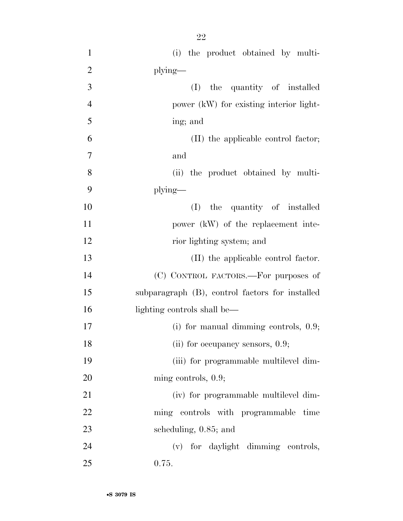| $\mathbf{1}$   | (i) the product obtained by multi-              |
|----------------|-------------------------------------------------|
| $\overline{2}$ | plying—                                         |
| 3              | the quantity of installed<br>(I)                |
| $\overline{4}$ | power (kW) for existing interior light-         |
| 5              | ing; and                                        |
| 6              | (II) the applicable control factor;             |
| 7              | and                                             |
| 8              | (ii) the product obtained by multi-             |
| 9              | plying-                                         |
| 10             | (I) the quantity of installed                   |
| 11             | power (kW) of the replacement inte-             |
| 12             | rior lighting system; and                       |
| 13             | (II) the applicable control factor.             |
| 14             | (C) CONTROL FACTORS.—For purposes of            |
| 15             | subparagraph (B), control factors for installed |
| 16             | lighting controls shall be—                     |
| 17             | (i) for manual dimming controls, $0.9$ ;        |
| 18             | (ii) for occupancy sensors, $0.9$ ;             |
| 19             | (iii) for programmable multilevel dim-          |
| 20             | ming controls, $0.9$ ;                          |
| 21             | (iv) for programmable multilevel dim-           |
| 22             | ming controls with programmable time            |
| 23             | scheduling, 0.85; and                           |
| 24             | (v) for daylight dimming controls,              |
| 25             | 0.75.                                           |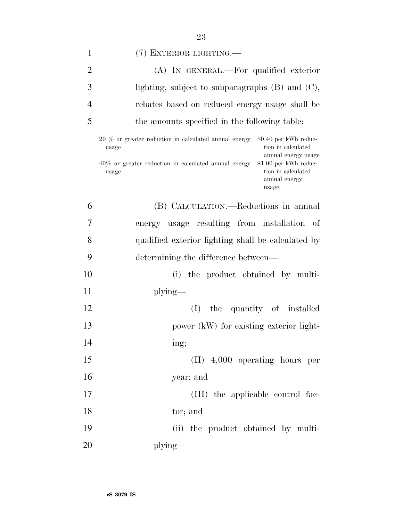| 1              | (7) EXTERIOR LIGHTING.—                                                                                                                    |
|----------------|--------------------------------------------------------------------------------------------------------------------------------------------|
| $\overline{2}$ | (A) IN GENERAL.—For qualified exterior                                                                                                     |
| 3              | lighting, subject to subparagraphs $(B)$ and $(C)$ ,                                                                                       |
| 4              | rebates based on reduced energy usage shall be                                                                                             |
| 5              | the amounts specified in the following table:                                                                                              |
|                | 20 % or greater reduction in calculated annual energy<br>$$0.40$ per kWh reduc-<br>tion in calculated<br>usage<br>annual energy usage      |
|                | \$1.00 per kWh reduc-<br>$40\%$ or greater reduction in calculated annual energy<br>tion in calculated<br>usage<br>annual energy<br>usage. |
| 6              | (B) CALCULATION.—Reductions in annual                                                                                                      |
| 7              | energy usage resulting from installation of                                                                                                |
| 8              | qualified exterior lighting shall be calculated by                                                                                         |
| 9              | determining the difference between—                                                                                                        |
| 10             | (i)<br>the product obtained by multi-                                                                                                      |
| 11             | $plying$ —                                                                                                                                 |
| 12             | the quantity of installed<br>(I)                                                                                                           |
| 13             | power (kW) for existing exterior light-                                                                                                    |
| 14             | ing;                                                                                                                                       |
| 15             | $(II)$ 4,000 operating hours per                                                                                                           |
| 16             | year; and                                                                                                                                  |
| 17             | (III) the applicable control fac-                                                                                                          |
| 18             | tor; and                                                                                                                                   |
| 19             | (ii) the product obtained by multi-                                                                                                        |
| 20             | plying—                                                                                                                                    |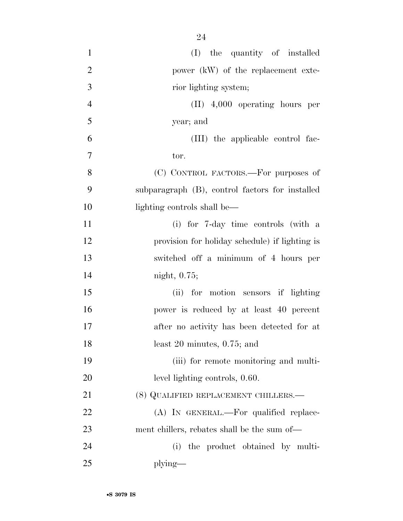| $\mathbf{1}$   | (I) the quantity of installed                   |
|----------------|-------------------------------------------------|
| $\overline{2}$ | power (kW) of the replacement exte-             |
| 3              | rior lighting system;                           |
| $\overline{4}$ | $(II)$ 4,000 operating hours per                |
| 5              | year; and                                       |
| 6              | (III) the applicable control fac-               |
| $\tau$         | tor.                                            |
| 8              | (C) CONTROL FACTORS.—For purposes of            |
| 9              | subparagraph (B), control factors for installed |
| 10             | lighting controls shall be—                     |
| 11             | (i) for 7-day time controls (with a             |
| 12             | provision for holiday schedule) if lighting is  |
| 13             | switched off a minimum of 4 hours per           |
| 14             | night, $0.75$ ;                                 |
| 15             | (ii) for motion sensors if lighting             |
| 16             | power is reduced by at least 40 percent         |
| 17             | after no activity has been detected for at      |
| 18             | least $20$ minutes, $0.75$ ; and                |
| 19             | (iii) for remote monitoring and multi-          |
| 20             | level lighting controls, 0.60.                  |
| 21             | (8) QUALIFIED REPLACEMENT CHILLERS.—            |
| 22             | (A) IN GENERAL.—For qualified replace-          |
| 23             | ment chillers, rebates shall be the sum of—     |
| 24             | the product obtained by multi-<br>(i)           |
| 25             | plying-                                         |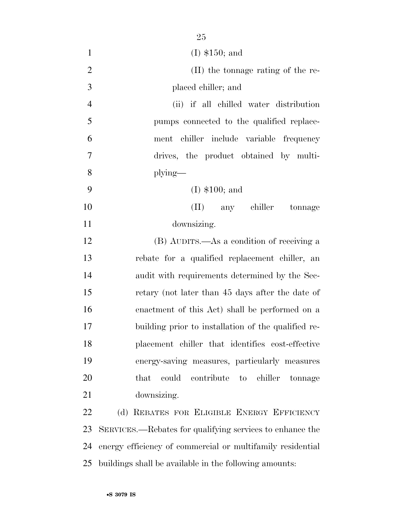| $\mathbf{1}$   | $(I)$ \$150; and                                           |
|----------------|------------------------------------------------------------|
| $\overline{2}$ | (II) the tonnage rating of the re-                         |
| 3              | placed chiller; and                                        |
| $\overline{4}$ | (ii) if all chilled water distribution                     |
| 5              | pumps connected to the qualified replace-                  |
| 6              | ment chiller include variable frequency                    |
| $\overline{7}$ | drives, the product obtained by multi-                     |
| 8              | plying—                                                    |
| 9              | $(I)$ \$100; and                                           |
| 10             | (II) any chiller tonnage                                   |
| 11             | downsizing.                                                |
| 12             | (B) AUDITS.—As a condition of receiving a                  |
| 13             | rebate for a qualified replacement chiller, an             |
| 14             | audit with requirements determined by the Sec-             |
| 15             | retary (not later than 45 days after the date of           |
| 16             | enactment of this Act) shall be performed on a             |
| 17             | building prior to installation of the qualified re-        |
| 18             | placement chiller that identifies cost-effective           |
| 19             | energy-saving measures, particularly measures              |
| 20             | could<br>that<br>contribute to chiller<br>tonnage          |
| 21             | downsizing.                                                |
| 22             | (d) REBATES FOR ELIGIBLE ENERGY EFFICIENCY                 |
| 23             | SERVICES.—Rebates for qualifying services to enhance the   |
| 24             | energy efficiency of commercial or multifamily residential |
| 25             | buildings shall be available in the following amounts:     |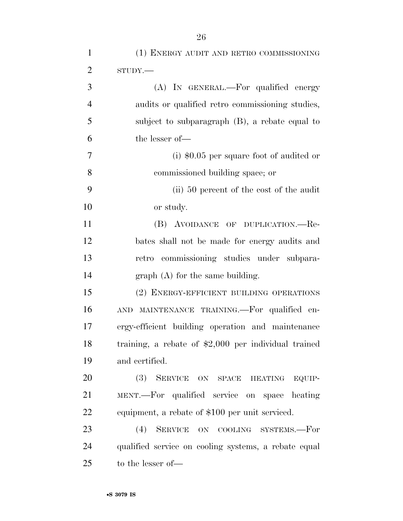| $\mathbf{1}$   | (1) ENERGY AUDIT AND RETRO COMMISSIONING              |
|----------------|-------------------------------------------------------|
| $\overline{2}$ | STUDY.                                                |
| 3              | (A) IN GENERAL.—For qualified energy                  |
| $\overline{4}$ | audits or qualified retro commissioning studies,      |
| 5              | subject to subparagraph (B), a rebate equal to        |
| 6              | the lesser of-                                        |
| 7              | (i) $$0.05$ per square foot of audited or             |
| 8              | commissioned building space; or                       |
| 9              | (ii) 50 percent of the cost of the audit              |
| 10             | or study.                                             |
| 11             | (B) AVOIDANCE OF DUPLICATION.—Re-                     |
| 12             | bates shall not be made for energy audits and         |
| 13             | retro commissioning studies under subpara-            |
| 14             | $graph(A)$ for the same building.                     |
| 15             | (2) ENERGY-EFFICIENT BUILDING OPERATIONS              |
| 16             | MAINTENANCE TRAINING. For qualified en-<br><b>AND</b> |
| 17             | ergy-efficient building operation and maintenance     |
| 18             | training, a rebate of $$2,000$ per individual trained |
| 19             | and certified.                                        |
| 20             | (3) SERVICE ON SPACE HEATING EQUIP-                   |
| 21             | MENT.—For qualified service on space heating          |
| 22             | equipment, a rebate of \$100 per unit serviced.       |
| 23             | (4) SERVICE ON COOLING SYSTEMS.-For                   |
| 24             | qualified service on cooling systems, a rebate equal  |
| 25             | to the lesser of—                                     |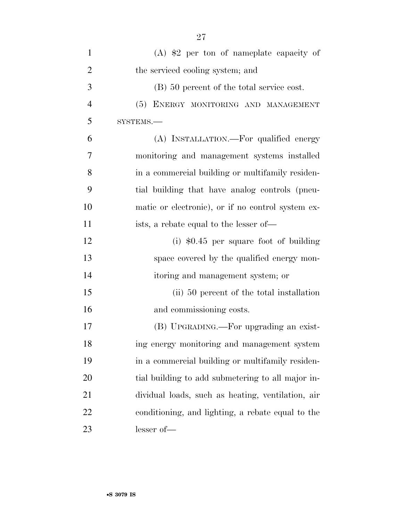| $\mathbf{1}$   | $(A)$ \$2 per ton of nameplate capacity of        |
|----------------|---------------------------------------------------|
| $\overline{2}$ | the serviced cooling system; and                  |
| 3              | (B) 50 percent of the total service cost.         |
| $\overline{4}$ | (5) ENERGY MONITORING AND MANAGEMENT              |
| 5              | SYSTEMS.-                                         |
| 6              | (A) INSTALLATION.—For qualified energy            |
| 7              | monitoring and management systems installed       |
| 8              | in a commercial building or multifamily residen-  |
| 9              | tial building that have analog controls (pneu-    |
| 10             | matic or electronic), or if no control system ex- |
| 11             | ists, a rebate equal to the lesser of—            |
| 12             | (i) $$0.45$ per square foot of building           |
| 13             | space covered by the qualified energy mon-        |
| 14             | itoring and management system; or                 |
| 15             | (ii) 50 percent of the total installation         |
| 16             | and commissioning costs.                          |
| 17             | (B) UPGRADING.—For upgrading an exist-            |
| 18             | ing energy monitoring and management system       |
| 19             | in a commercial building or multifamily residen-  |
| 20             | tial building to add submetering to all major in- |
| 21             | dividual loads, such as heating, ventilation, air |
| 22             | conditioning, and lighting, a rebate equal to the |
| 23             | lesser of-                                        |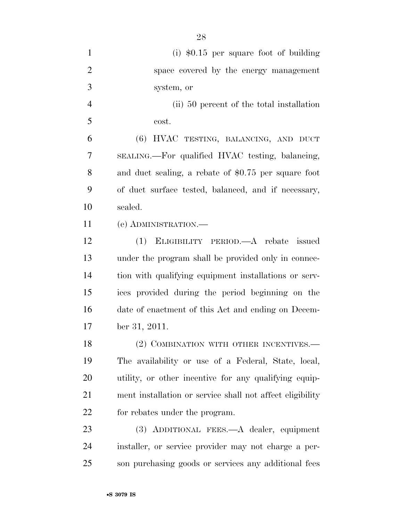(i) \$0.15 per square foot of building space covered by the energy management system, or (ii) 50 percent of the total installation  $5 \qquad \qquad \text{cost.}$  (6) HVAC TESTING, BALANCING, AND DUCT SEALING.—For qualified HVAC testing, balancing, and duct sealing, a rebate of \$0.75 per square foot of duct surface tested, balanced, and if necessary, sealed. (e) ADMINISTRATION.— (1) ELIGIBILITY PERIOD.—A rebate issued under the program shall be provided only in connec- tion with qualifying equipment installations or serv- ices provided during the period beginning on the date of enactment of this Act and ending on Decem- ber 31, 2011. 18 (2) COMBINATION WITH OTHER INCENTIVES.— The availability or use of a Federal, State, local, utility, or other incentive for any qualifying equip- ment installation or service shall not affect eligibility for rebates under the program. (3) ADDITIONAL FEES.—A dealer, equipment installer, or service provider may not charge a per-son purchasing goods or services any additional fees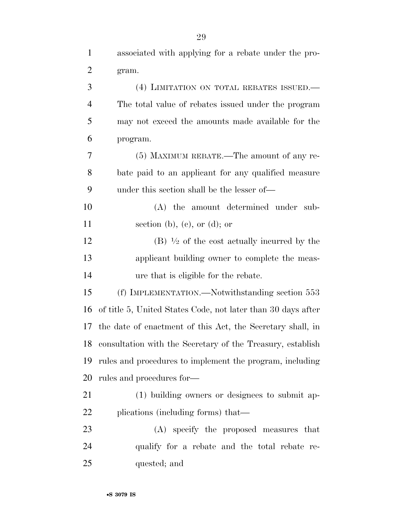| $\mathbf{1}$   | associated with applying for a rebate under the pro-         |
|----------------|--------------------------------------------------------------|
| $\overline{c}$ | gram.                                                        |
| 3              | (4) LIMITATION ON TOTAL REBATES ISSUED.—                     |
| $\overline{4}$ | The total value of rebates issued under the program          |
| 5              | may not exceed the amounts made available for the            |
| 6              | program.                                                     |
| 7              | (5) MAXIMUM REBATE.—The amount of any re-                    |
| 8              | bate paid to an applicant for any qualified measure          |
| 9              | under this section shall be the lesser of—                   |
| 10             | (A) the amount determined under sub-                         |
| 11             | section (b), (c), or (d); or                                 |
| 12             | $(B)$ $\frac{1}{2}$ of the cost actually incurred by the     |
| 13             | applicant building owner to complete the meas-               |
| 14             | ure that is eligible for the rebate.                         |
| 15             | (f) IMPLEMENTATION.—Notwithstanding section 553              |
| 16             | of title 5, United States Code, not later than 30 days after |
| 17             | the date of enactment of this Act, the Secretary shall, in   |
| 18             | consultation with the Secretary of the Treasury, establish   |
| 19             | rules and procedures to implement the program, including     |
| 20             | rules and procedures for-                                    |
| 21             | (1) building owners or designees to submit ap-               |
| 22             | plications (including forms) that—                           |
| 23             | (A) specify the proposed measures that                       |
| 24             | qualify for a rebate and the total rebate re-                |
| 25             | quested; and                                                 |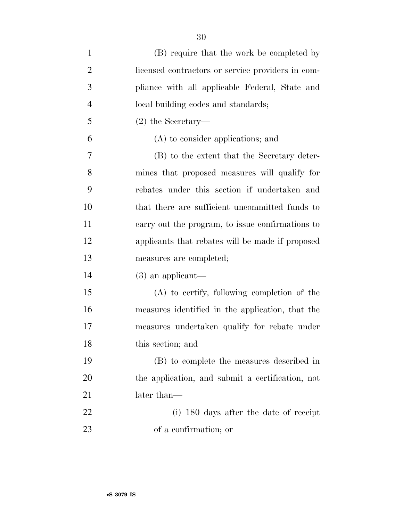| $\mathbf{1}$   | (B) require that the work be completed by         |
|----------------|---------------------------------------------------|
| $\overline{2}$ | licensed contractors or service providers in com- |
| 3              | pliance with all applicable Federal, State and    |
| $\overline{4}$ | local building codes and standards;               |
| 5              | $(2)$ the Secretary—                              |
| 6              | (A) to consider applications; and                 |
| 7              | (B) to the extent that the Secretary deter-       |
| 8              | mines that proposed measures will qualify for     |
| 9              | rebates under this section if undertaken and      |
| 10             | that there are sufficient uncommitted funds to    |
| 11             | carry out the program, to issue confirmations to  |
| 12             | applicants that rebates will be made if proposed  |
| 13             | measures are completed;                           |
| 14             | $(3)$ an applicant—                               |
| 15             | $(A)$ to certify, following completion of the     |
| 16             | measures identified in the application, that the  |
| 17             | measures undertaken qualify for rebate under      |
| 18             | this section; and                                 |
| 19             | (B) to complete the measures described in         |
| 20             | the application, and submit a certification, not  |
| 21             | later than—                                       |
| <u>22</u>      | (i) 180 days after the date of receipt            |
| 23             | of a confirmation; or                             |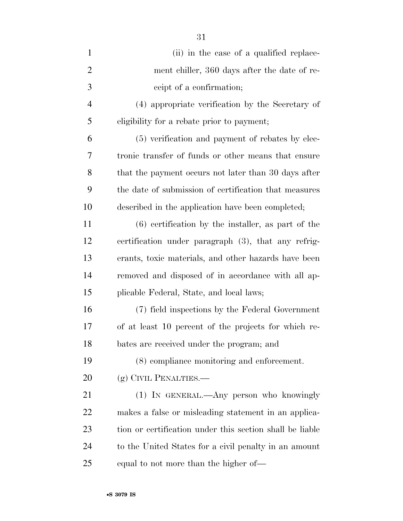| $\mathbf{1}$   | (ii) in the case of a qualified replace-                 |
|----------------|----------------------------------------------------------|
| $\overline{2}$ | ment chiller, 360 days after the date of re-             |
| 3              | ceipt of a confirmation;                                 |
| $\overline{4}$ | (4) appropriate verification by the Secretary of         |
| 5              | eligibility for a rebate prior to payment;               |
| 6              | (5) verification and payment of rebates by elec-         |
| 7              | tronic transfer of funds or other means that ensure      |
| 8              | that the payment occurs not later than 30 days after     |
| 9              | the date of submission of certification that measures    |
| 10             | described in the application have been completed;        |
| 11             | $(6)$ certification by the installer, as part of the     |
| 12             | certification under paragraph (3), that any refrig-      |
| 13             | erants, toxic materials, and other hazards have been     |
| 14             | removed and disposed of in accordance with all ap-       |
| 15             | plicable Federal, State, and local laws;                 |
| 16             | (7) field inspections by the Federal Government          |
| 17             | of at least 10 percent of the projects for which re-     |
| 18             | bates are received under the program; and                |
| 19             | (8) compliance monitoring and enforcement.               |
| 20             | (g) CIVIL PENALTIES.—                                    |
| 21             | (1) IN GENERAL.—Any person who knowingly                 |
| 22             | makes a false or misleading statement in an applica-     |
| 23             | tion or certification under this section shall be liable |
| 24             | to the United States for a civil penalty in an amount    |
| 25             | equal to not more than the higher of—                    |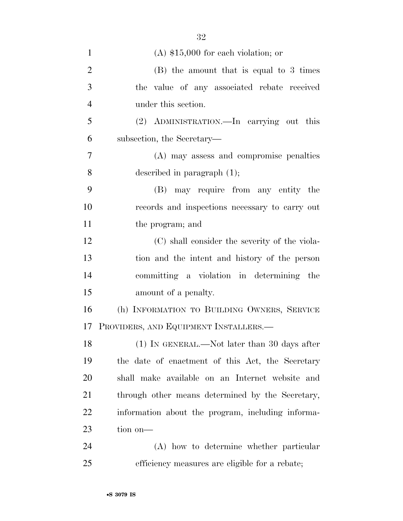| $\mathbf{1}$   | $(A)$ \$15,000 for each violation; or             |
|----------------|---------------------------------------------------|
| $\overline{2}$ | $(B)$ the amount that is equal to 3 times         |
| 3              | the value of any associated rebate received       |
| $\overline{4}$ | under this section.                               |
| 5              | (2) ADMINISTRATION.—In carrying out this          |
| 6              | subsection, the Secretary—                        |
| 7              | (A) may assess and compromise penalties           |
| 8              | described in paragraph $(1)$ ;                    |
| 9              | may require from any entity the<br>(B)            |
| 10             | records and inspections necessary to carry out    |
| 11             | the program; and                                  |
| 12             | (C) shall consider the severity of the viola-     |
| 13             | tion and the intent and history of the person     |
| 14             | committing a violation in determining the         |
| 15             | amount of a penalty.                              |
| 16             | (h) INFORMATION TO BUILDING OWNERS, SERVICE       |
| 17             | PROVIDERS, AND EQUIPMENT INSTALLERS.—             |
| 18             | (1) IN GENERAL.—Not later than 30 days after      |
| 19             | the date of enactment of this Act, the Secretary  |
| 20             | shall make available on an Internet website and   |
| 21             | through other means determined by the Secretary,  |
| 22             | information about the program, including informa- |
| 23             | tion on-                                          |
| 24             | (A) how to determine whether particular           |
| 25             | efficiency measures are eligible for a rebate;    |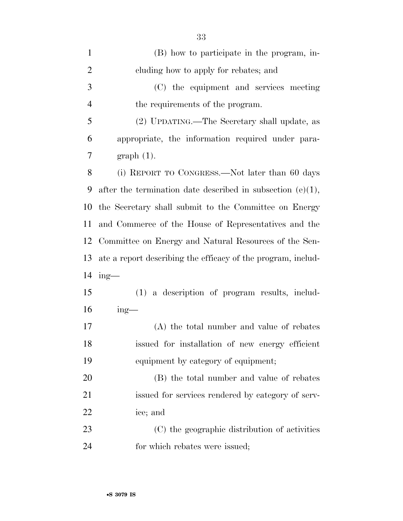| $\mathbf{1}$   | (B) how to participate in the program, in-                    |
|----------------|---------------------------------------------------------------|
| $\overline{2}$ | cluding how to apply for rebates; and                         |
| 3              | (C) the equipment and services meeting                        |
| $\overline{4}$ | the requirements of the program.                              |
| 5              | (2) UPDATING.—The Secretary shall update, as                  |
| 6              | appropriate, the information required under para-             |
| 7              | $graph(1)$ .                                                  |
| 8              | (i) REPORT TO CONGRESS.—Not later than 60 days                |
| 9              | after the termination date described in subsection $(e)(1)$ , |
| 10             | the Secretary shall submit to the Committee on Energy         |
| 11             | and Commerce of the House of Representatives and the          |
| 12             | Committee on Energy and Natural Resources of the Sen-         |
| 13             | ate a report describing the efficacy of the program, includ-  |
| 14             | $ing$ —                                                       |
| 15             | (1) a description of program results, includ-                 |
| 16             | $ing$ —                                                       |
| 17             | (A) the total number and value of rebates                     |
| 18             | issued for installation of new energy efficient               |
| 19             | equipment by category of equipment;                           |
| 20             | (B) the total number and value of rebates                     |
| 21             | issued for services rendered by category of serv-             |
| 22             | ice; and                                                      |
| 23             | (C) the geographic distribution of activities                 |
| 24             | for which rebates were issued;                                |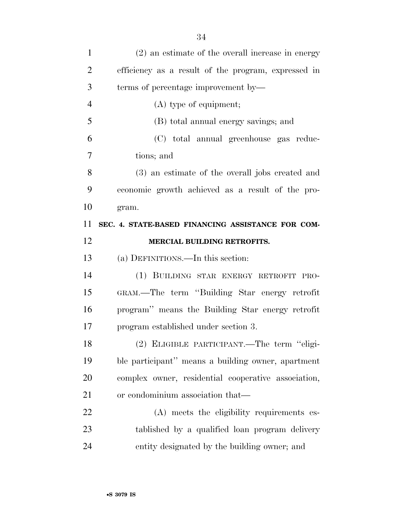| $\mathbf{1}$   | (2) an estimate of the overall increase in energy   |
|----------------|-----------------------------------------------------|
| $\overline{2}$ | efficiency as a result of the program, expressed in |
| 3              | terms of percentage improvement by—                 |
| $\overline{4}$ | $(A)$ type of equipment;                            |
| 5              | (B) total annual energy savings; and                |
| 6              | (C) total annual greenhouse gas reduc-              |
| 7              | tions; and                                          |
| 8              | (3) an estimate of the overall jobs created and     |
| 9              | economic growth achieved as a result of the pro-    |
| 10             | gram.                                               |
| 11             | SEC. 4. STATE-BASED FINANCING ASSISTANCE FOR COM-   |
| 12             | MERCIAL BUILDING RETROFITS.                         |
|                |                                                     |
| 13             | (a) DEFINITIONS.—In this section:                   |
| 14             | (1) BUILDING STAR ENERGY RETROFIT PRO-              |
| 15             | GRAM.—The term "Building Star energy retrofit       |
| 16             | program" means the Building Star energy retrofit    |
| 17             | program established under section 3.                |
| 18             | (2) ELIGIBLE PARTICIPANT.—The term "eligi-          |
| 19             | ble participant" means a building owner, apartment  |
| 20             | complex owner, residential cooperative association, |
| 21             | or condominium association that—                    |
| 22             | (A) meets the eligibility requirements es-          |
| 23             | tablished by a qualified loan program delivery      |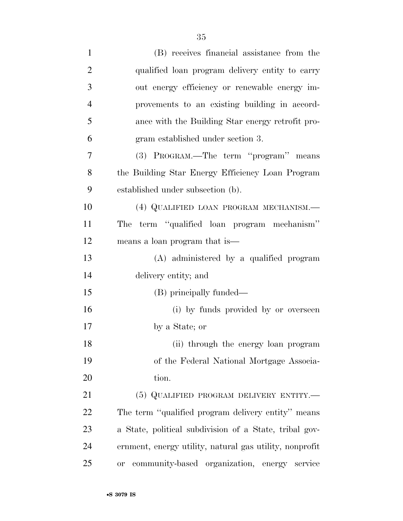| $\mathbf{1}$   | (B) receives financial assistance from the                |
|----------------|-----------------------------------------------------------|
| $\overline{2}$ | qualified loan program delivery entity to carry           |
| 3              | out energy efficiency or renewable energy im-             |
| $\overline{4}$ | provements to an existing building in accord-             |
| 5              | ance with the Building Star energy retrofit pro-          |
| 6              | gram established under section 3.                         |
| 7              | (3) PROGRAM.—The term "program" means                     |
| 8              | the Building Star Energy Efficiency Loan Program          |
| 9              | established under subsection (b).                         |
| 10             | (4) QUALIFIED LOAN PROGRAM MECHANISM.—                    |
| 11             | The term "qualified loan program mechanism"               |
| 12             | means a loan program that is—                             |
| 13             | (A) administered by a qualified program                   |
| 14             | delivery entity; and                                      |
| 15             | (B) principally funded—                                   |
| 16             | (i) by funds provided by or overseen                      |
| 17             | by a State; or                                            |
| 18             | (ii) through the energy loan program                      |
| 19             | of the Federal National Mortgage Associa-                 |
| 20             | tion.                                                     |
| 21             | (5) QUALIFIED PROGRAM DELIVERY ENTITY.—                   |
| 22             | The term "qualified program delivery entity" means        |
| 23             | a State, political subdivision of a State, tribal gov-    |
| 24             | ernment, energy utility, natural gas utility, nonprofit   |
| 25             | community-based organization, energy service<br><b>or</b> |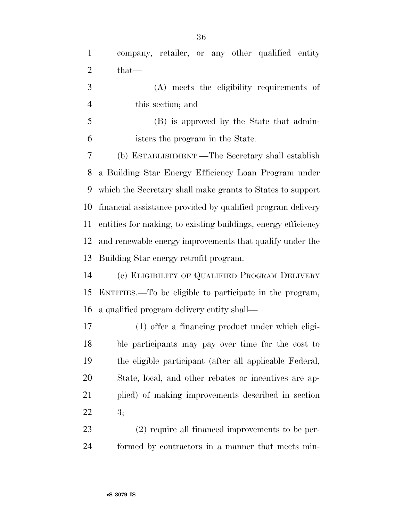company, retailer, or any other qualified entity that—

- (A) meets the eligibility requirements of this section; and
- (B) is approved by the State that admin-isters the program in the State.

 (b) ESTABLISHMENT.—The Secretary shall establish a Building Star Energy Efficiency Loan Program under which the Secretary shall make grants to States to support financial assistance provided by qualified program delivery entities for making, to existing buildings, energy efficiency and renewable energy improvements that qualify under the Building Star energy retrofit program.

 (c) ELIGIBILITY OF QUALIFIED PROGRAM DELIVERY ENTITIES.—To be eligible to participate in the program, a qualified program delivery entity shall—

 (1) offer a financing product under which eligi- ble participants may pay over time for the cost to the eligible participant (after all applicable Federal, State, local, and other rebates or incentives are ap- plied) of making improvements described in section 3;

 (2) require all financed improvements to be per-formed by contractors in a manner that meets min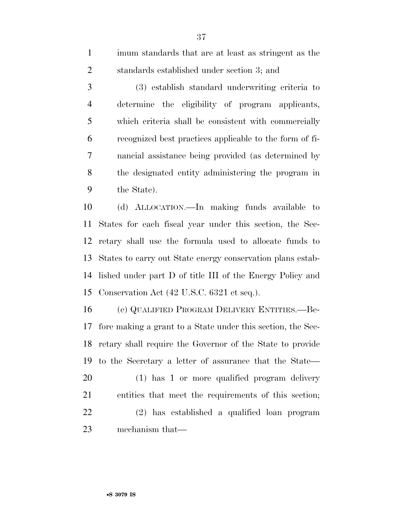imum standards that are at least as stringent as the standards established under section 3; and

 (3) establish standard underwriting criteria to determine the eligibility of program applicants, which criteria shall be consistent with commercially recognized best practices applicable to the form of fi- nancial assistance being provided (as determined by the designated entity administering the program in the State).

 (d) ALLOCATION.—In making funds available to States for each fiscal year under this section, the Sec- retary shall use the formula used to allocate funds to States to carry out State energy conservation plans estab- lished under part D of title III of the Energy Policy and Conservation Act (42 U.S.C. 6321 et seq.).

 (e) QUALIFIED PROGRAM DELIVERY ENTITIES.—Be- fore making a grant to a State under this section, the Sec- retary shall require the Governor of the State to provide to the Secretary a letter of assurance that the State— (1) has 1 or more qualified program delivery entities that meet the requirements of this section; (2) has established a qualified loan program mechanism that—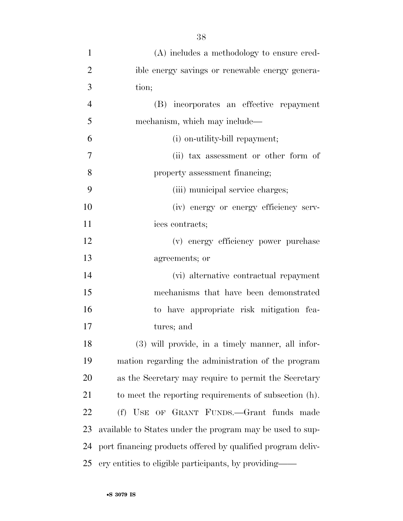| $\mathbf{1}$   | (A) includes a methodology to ensure cred-                  |
|----------------|-------------------------------------------------------------|
| $\overline{2}$ | ible energy savings or renewable energy genera-             |
| 3              | tion;                                                       |
| $\overline{4}$ | (B) incorporates an effective repayment                     |
| 5              | mechanism, which may include—                               |
| 6              | (i) on-utility-bill repayment;                              |
| 7              | (ii) tax assessment or other form of                        |
| 8              | property assessment financing;                              |
| 9              | (iii) municipal service charges;                            |
| 10             | (iv) energy or energy efficiency serv-                      |
| 11             | ices contracts;                                             |
| 12             | (v) energy efficiency power purchase                        |
| 13             | agreements; or                                              |
| 14             | (vi) alternative contractual repayment                      |
| 15             | mechanisms that have been demonstrated                      |
| 16             | to have appropriate risk mitigation fea-                    |
| 17             | tures; and                                                  |
| 18             | (3) will provide, in a timely manner, all infor-            |
| 19             | mation regarding the administration of the program          |
| 20             | as the Secretary may require to permit the Secretary        |
| 21             | to meet the reporting requirements of subsection (h).       |
| 22             | (f) USE OF GRANT FUNDS.—Grant funds made                    |
| 23             | available to States under the program may be used to sup-   |
| 24             | port financing products offered by qualified program deliv- |
| 25             | ery entities to eligible participants, by providing—        |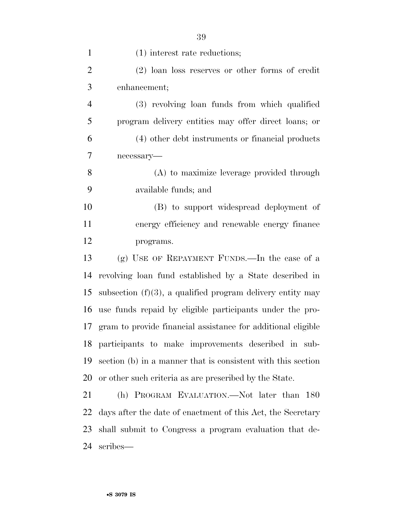| $\mathbf{1}$   | $(1)$ interest rate reductions;                               |
|----------------|---------------------------------------------------------------|
| $\overline{2}$ | $(2)$ loan loss reserves or other forms of credit             |
| 3              | enhancement;                                                  |
| $\overline{4}$ | (3) revolving loan funds from which qualified                 |
| 5              | program delivery entities may offer direct loans; or          |
| 6              | (4) other debt instruments or financial products              |
| 7              | necessary-                                                    |
| 8              | (A) to maximize leverage provided through                     |
| 9              | available funds; and                                          |
| 10             | (B) to support widespread deployment of                       |
| 11             | energy efficiency and renewable energy finance                |
| 12             | programs.                                                     |
| 13             | (g) USE OF REPAYMENT FUNDS.—In the case of a                  |
| 14             | revolving loan fund established by a State described in       |
| 15             | subsection $(f)(3)$ , a qualified program delivery entity may |
| 16             | use funds repaid by eligible participants under the pro-      |
| 17             | gram to provide financial assistance for additional eligible  |
| 18             | participants to make improvements described in sub-           |
| 19             | section (b) in a manner that is consistent with this section  |
| 20             | or other such criteria as are prescribed by the State.        |
| 21             | (h) PROGRAM EVALUATION.—Not later than 180                    |
| 22             | days after the date of enactment of this Act, the Secretary   |
| 23             | shall submit to Congress a program evaluation that de-        |
|                |                                                               |

scribes—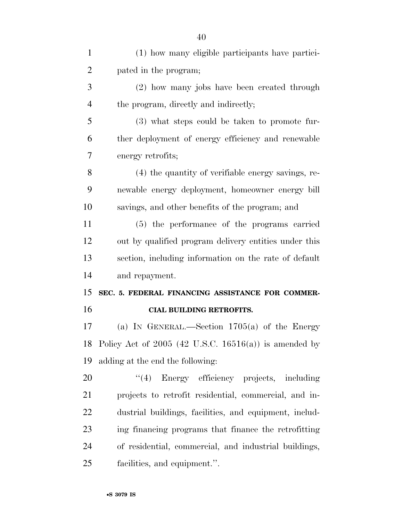| $\mathbf{1}$   | (1) how many eligible participants have partici-        |
|----------------|---------------------------------------------------------|
| $\overline{2}$ | pated in the program;                                   |
| 3              | (2) how many jobs have been created through             |
| 4              | the program, directly and indirectly;                   |
| 5              | (3) what steps could be taken to promote fur-           |
| 6              | ther deployment of energy efficiency and renewable      |
| 7              | energy retrofits;                                       |
| 8              | (4) the quantity of verifiable energy savings, re-      |
| 9              | newable energy deployment, homeowner energy bill        |
| 10             | savings, and other benefits of the program; and         |
| 11             | (5) the performance of the programs carried             |
| 12             | out by qualified program delivery entities under this   |
| 13             | section, including information on the rate of default   |
| 14             | and repayment.                                          |
| 15             | SEC. 5. FEDERAL FINANCING ASSISTANCE FOR COMMER-        |
| 16             | <b>CIAL BUILDING RETROFITS.</b>                         |
| 17             | (a) IN GENERAL.—Section $1705(a)$ of the Energy         |
| 18             | Policy Act of $2005$ (42 U.S.C. 16516(a)) is amended by |
| 19             | adding at the end the following:                        |
| <b>20</b>      | "(4) Energy efficiency projects, including              |
| 21             | projects to retrofit residential, commercial, and in-   |
| 22             | dustrial buildings, facilities, and equipment, includ-  |
| 23             | ing financing programs that finance the retrofitting    |
| 24             | of residential, commercial, and industrial buildings,   |
| 25             | facilities, and equipment.".                            |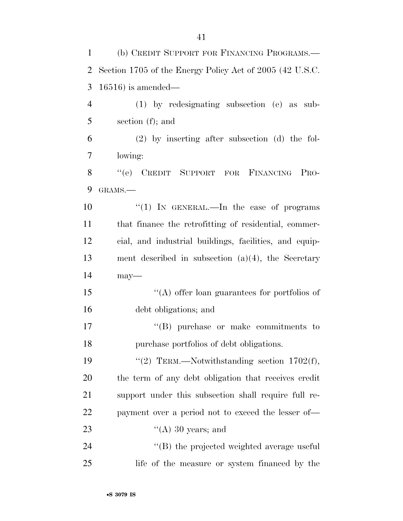| 1              | (b) CREDIT SUPPORT FOR FINANCING PROGRAMS.—              |
|----------------|----------------------------------------------------------|
| $\overline{2}$ | Section 1705 of the Energy Policy Act of 2005 (42 U.S.C. |
| 3              | $16516$ ) is amended—                                    |
| $\overline{4}$ | $(1)$ by redesignating subsection $(e)$ as sub-          |
| 5              | section $(f)$ ; and                                      |
| 6              | $(2)$ by inserting after subsection $(d)$ the fol-       |
| 7              | lowing:                                                  |
| 8              | "(e) CREDIT SUPPORT FOR FINANCING PRO-                   |
| 9              | GRAMS.-                                                  |
| 10             | "(1) IN GENERAL.—In the case of programs                 |
| 11             | that finance the retrofitting of residential, commer-    |
| 12             | cial, and industrial buildings, facilities, and equip-   |
| 13             | ment described in subsection $(a)(4)$ , the Secretary    |
| 14             | $may-$                                                   |
| 15             | "(A) offer loan guarantees for portfolios of             |
| 16             | debt obligations; and                                    |
| 17             | $\lq\lq$ purchase or make commitments to                 |
| 18             | purchase portfolios of debt obligations.                 |
| 19             | "(2) TERM.—Notwithstanding section $1702(f)$ ,           |
| 20             | the term of any debt obligation that receives credit     |
| 21             | support under this subsection shall require full re-     |
| 22             | payment over a period not to exceed the lesser of—       |
| 23             | $\lq\lq$ (A) 30 years; and                               |
| 24             | "(B) the projected weighted average useful               |
| 25             | life of the measure or system financed by the            |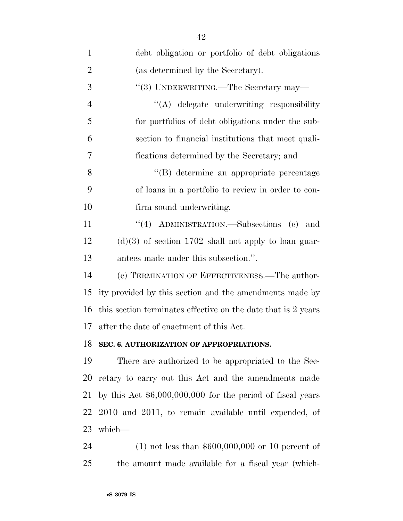| $\mathbf{1}$   | debt obligation or portfolio of debt obligations              |
|----------------|---------------------------------------------------------------|
| $\overline{2}$ | (as determined by the Secretary).                             |
| 3              | "(3) UNDERWRITING.—The Secretary may—                         |
| $\overline{4}$ | "(A) delegate underwriting responsibility                     |
| 5              | for portfolios of debt obligations under the sub-             |
| 6              | section to financial institutions that meet quali-            |
| 7              | fications determined by the Secretary; and                    |
| 8              | "(B) determine an appropriate percentage                      |
| 9              | of loans in a portfolio to review in order to con-            |
| 10             | firm sound underwriting.                                      |
| 11             | "(4) ADMINISTRATION.—Subsections (c) and                      |
| 12             | $(d)(3)$ of section 1702 shall not apply to loan guar-        |
| 13             | antees made under this subsection.".                          |
| 14             | (c) TERMINATION OF EFFECTIVENESS.—The author-                 |
| 15             | ity provided by this section and the amendments made by       |
| 16             | this section terminates effective on the date that is 2 years |
| 17             | after the date of enactment of this Act.                      |
|                | 18 SEC. 6. AUTHORIZATION OF APPROPRIATIONS.                   |
| 19             | There are authorized to be appropriated to the Sec-           |
| 20             | retary to carry out this Act and the amendments made          |
| 21             | by this Act $$6,000,000,000$ for the period of fiscal years   |
| 22             | 2010 and 2011, to remain available until expended, of         |
| 23             | which-                                                        |
| 24             | $(1)$ not less than \$600,000,000 or 10 percent of            |

the amount made available for a fiscal year (which-